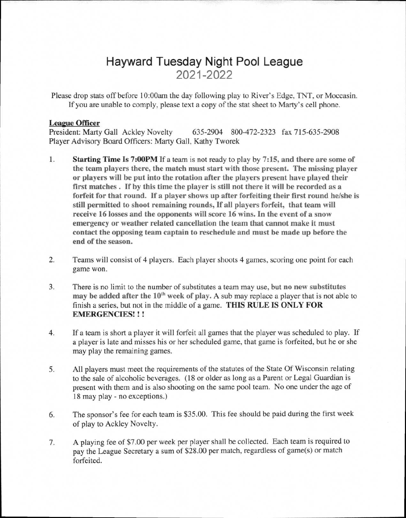# **Hayward Tuesday Night Pool League 2021-2022**

Please drop stats off before 10:00am the day following play to River's Edge, TNT, or Moccasin. If you are unable to comply, please text a copy of the stat sheet to Marty's cell phone.

## **League Officer**

President: Marty Gall Ackley Novelty 635-2904 800-472-2323 fax 715-635-2908 Player Advisory Board Officers: Marty Gall, Kathy Tworek

- **1. Starting Time Is 7:00PM** If a team is not ready to play by **7:15, and there are some of the team players there, the match must start with those present. The missing player or players will be put into the rotation after the players present have played their first matches . If by this time the player is still not there it will be recorded as a forfeit for that round. If a player shows up after forfeiting their first round he/she is still permitted to shoot remaining rounds, If all players forfeit, that team will receive 16 losses and the opponents will score 16 wins. In the event of a snow emergency or weather related cancellation the team that cannot make it must contact the opposing team captain to reschedule and must be made up before the end of the season.**
- 2. Teams will consist of 4 players. Each player shoots 4 games, scoring one point for each game won.
- 3. There is no limit to the number of substitutes a team may use, but **no new substitutes may be added after the 10<sup>th</sup> week of play.** A sub may replace a player that is not able to finish a series, but not in the middle of a game. **THIS RULE IS ONLY FOR EMERGENCIES! ! !**
- 4. If a team is short a player it will forfeit all games that the player was scheduled to play. If a player is late and misses his or her scheduled game, that game is forfeited, but he or she may play the remaining games.
- 5. All players must meet the requirements of the statutes of the State Of Wisconsin relating to the sale of alcoholic beverages. (18 or older as long as a Parent or Legal Guardian is present with them and is also shooting on the same pool team. No one under the age of 18 may play - no exceptions.)
- 6. The sponsor's fee for each team is \$35.00. This fee should be paid during the first week of play to Ackley Novelty.
- 7. A playing fee of \$7.00 per week per player shall be collected. Each team is required to pay the League Secretary a sum of \$28.00 per match, regardless of game(s) or match forfeited.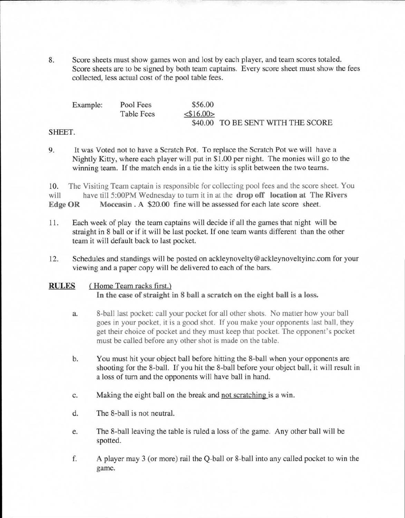8. Score sheets must show games won and lost by each player, and team scores totaled. Score sheets are to be signed by both team captains. Every score sheet must show the fees collected, less actual cost of the pool table fees.

| Example: | Pool Fees         | \$56.00         |                                   |
|----------|-------------------|-----------------|-----------------------------------|
|          | <b>Table Fees</b> | $<$ \$16.00 $>$ |                                   |
|          |                   |                 | \$40.00 TO BE SENT WITH THE SCORE |

## SHEET.

9. It was Voted not to have a Scratch Pot. To replace the Scratch Pot we will have a Nightly Kitty, where each player will put in \$1.00 per night. The monies will go to the winning team. If the match ends in a tie the kitty is split between the two teams.

10. The Visiting Team captain is responsible for collecting pool fees and the score sheet. You will have till 5:00PM Wednesday to turn it in at the **drop off location at The Rivers**  Edge OR Moccasin . A \$20.00 fine will be assessed for each late score sheet.

- 11. Each week of play the team captains will decide if all the games that night will be straight in 8 ball or if it will be last pocket. If one team wants different than the other team it will default back to last pocket.
- 12. Schedules and standings will be posted on ackleynovelty@ackleynoveltyinc.com for your viewing and a paper copy will be delivered to each of the bars.

## **RULES (** Home Team racks first.) **In the case of straight in 8 ball a scratch on the eight ball is a loss.**

- a. 8-ball last pocket: call your pocket for all other shots. No matter how your ball goes in your pocket, it is a good shot. If you make your opponents last ball, they get their choice of pocket and they must keep that pocket. The opponent's pocket must be called before any other shot is made on the table.
- b. You must hit your object ball before hitting the 8-ball when your opponents are shooting for the 8-ball. If you hit the 8-ball before your object ball, it will result in a loss of turn and the opponents will have ball in hand.
- c. Making the eight ball on the break and not scratching is a win.
- d. The 8-ball is not neutral.
- e. The 8-ball leaving the table is ruled a loss of the game. Any other ball will be spotted.
- f. A player may 3 (or more) rail the Q-ball or 8-ball into any called pocket to win the game.